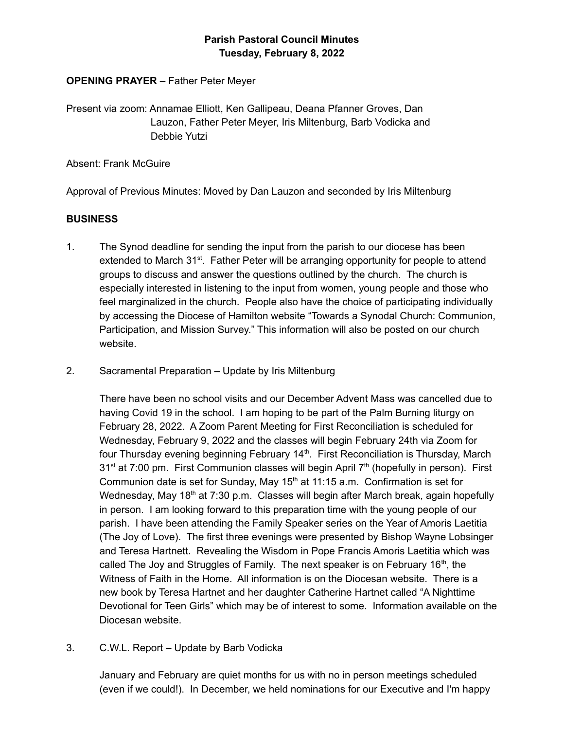# **Parish Pastoral Council Minutes Tuesday, February 8, 2022**

### **OPENING PRAYER** – Father Peter Meyer

Present via zoom: Annamae Elliott, Ken Gallipeau, Deana Pfanner Groves, Dan Lauzon, Father Peter Meyer, Iris Miltenburg, Barb Vodicka and Debbie Yutzi

Absent: Frank McGuire

Approval of Previous Minutes: Moved by Dan Lauzon and seconded by Iris Miltenburg

### **BUSINESS**

- 1. The Synod deadline for sending the input from the parish to our diocese has been extended to March 31<sup>st</sup>. Father Peter will be arranging opportunity for people to attend groups to discuss and answer the questions outlined by the church. The church is especially interested in listening to the input from women, young people and those who feel marginalized in the church. People also have the choice of participating individually by accessing the Diocese of Hamilton website "Towards a Synodal Church: Communion, Participation, and Mission Survey." This information will also be posted on our church website.
- 2. Sacramental Preparation Update by Iris Miltenburg

There have been no school visits and our December Advent Mass was cancelled due to having Covid 19 in the school. I am hoping to be part of the Palm Burning liturgy on February 28, 2022. A Zoom Parent Meeting for First Reconciliation is scheduled for Wednesday, February 9, 2022 and the classes will begin February 24th via Zoom for four Thursday evening beginning February 14<sup>th</sup>. First Reconciliation is Thursday, March 31<sup>st</sup> at 7:00 pm. First Communion classes will begin April 7<sup>th</sup> (hopefully in person). First Communion date is set for Sunday, May  $15<sup>th</sup>$  at 11:15 a.m. Confirmation is set for Wednesday, May 18<sup>th</sup> at 7:30 p.m. Classes will begin after March break, again hopefully in person. I am looking forward to this preparation time with the young people of our parish. I have been attending the Family Speaker series on the Year of Amoris Laetitia (The Joy of Love). The first three evenings were presented by Bishop Wayne Lobsinger and Teresa Hartnett. Revealing the Wisdom in Pope Francis Amoris Laetitia which was called The Joy and Struggles of Family. The next speaker is on February 16<sup>th</sup>, the Witness of Faith in the Home. All information is on the Diocesan website. There is a new book by Teresa Hartnet and her daughter Catherine Hartnet called "A Nighttime Devotional for Teen Girls" which may be of interest to some. Information available on the Diocesan website.

3. C.W.L. Report – Update by Barb Vodicka

January and February are quiet months for us with no in person meetings scheduled (even if we could!). In December, we held nominations for our Executive and I'm happy